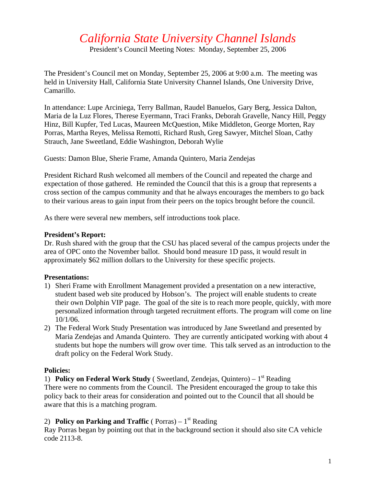# *California State University Channel Islands*

President's Council Meeting Notes: Monday, September 25, 2006

The President's Council met on Monday, September 25, 2006 at 9:00 a.m. The meeting was held in University Hall, California State University Channel Islands, One University Drive, Camarillo.

In attendance: Lupe Arciniega, Terry Ballman, Raudel Banuelos, Gary Berg, Jessica Dalton, Maria de la Luz Flores, Therese Eyermann, Traci Franks, Deborah Gravelle, Nancy Hill, Peggy Hinz, Bill Kupfer, Ted Lucas, Maureen McQuestion, Mike Middleton, George Morten, Ray Porras, Martha Reyes, Melissa Remotti, Richard Rush, Greg Sawyer, Mitchel Sloan, Cathy Strauch, Jane Sweetland, Eddie Washington, Deborah Wylie

Guests: Damon Blue, Sherie Frame, Amanda Quintero, Maria Zendejas

President Richard Rush welcomed all members of the Council and repeated the charge and expectation of those gathered. He reminded the Council that this is a group that represents a cross section of the campus community and that he always encourages the members to go back to their various areas to gain input from their peers on the topics brought before the council.

As there were several new members, self introductions took place.

#### **President's Report:**

Dr. Rush shared with the group that the CSU has placed several of the campus projects under the area of OPC onto the November ballot. Should bond measure 1D pass, it would result in approximately \$62 million dollars to the University for these specific projects.

#### **Presentations:**

- 1) Sheri Frame with Enrollment Management provided a presentation on a new interactive, student based web site produced by Hobson's. The project will enable students to create their own Dolphin VIP page. The goal of the site is to reach more people, quickly, with more personalized information through targeted recruitment efforts. The program will come on line 10/1/06.
- 2) The Federal Work Study Presentation was introduced by Jane Sweetland and presented by Maria Zendejas and Amanda Quintero. They are currently anticipated working with about 4 students but hope the numbers will grow over time. This talk served as an introduction to the draft policy on the Federal Work Study.

#### **Policies:**

1) **Policy on Federal Work Study** (Sweetland, Zendejas, Quintero) –  $1<sup>st</sup>$  Reading There were no comments from the Council. The President encouraged the group to take this policy back to their areas for consideration and pointed out to the Council that all should be aware that this is a matching program.

#### 2) **Policy on Parking and Traffic** ( Porras)  $-1^{st}$  Reading

Ray Porras began by pointing out that in the background section it should also site CA vehicle code 2113-8.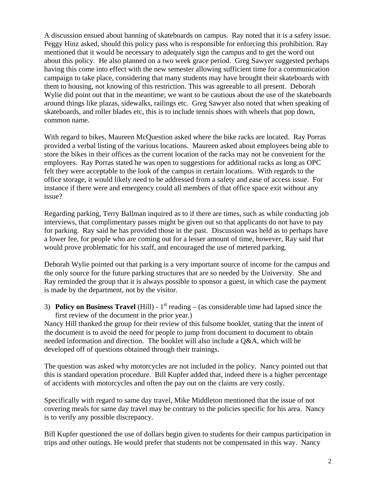A discussion ensued about banning of skateboards on campus. Ray noted that it is a safety issue. Peggy Hinz asked, should this policy pass who is responsible for enforcing this prohibition. Ray mentioned that it would be necessary to adequately sign the campus and to get the word out about this policy. He also planned on a two week grace period. Greg Sawyer suggested perhaps having this come into effect with the new semester allowing sufficient time for a communication campaign to take place, considering that many students may have brought their skateboards with them to housing, not knowing of this restriction. This was agreeable to all present. Deborah Wylie did point out that in the meantime; we want to be cautious about the use of the skateboards around things like plazas, sidewalks, railings etc. Greg Sawyer also noted that when speaking of skateboards, and roller blades etc, this is to include tennis shoes with wheels that pop down, common name.

With regard to bikes, Maureen McQuestion asked where the bike racks are located. Ray Porras provided a verbal listing of the various locations. Maureen asked about employees being able to store the bikes in their offices as the current location of the racks may not be convenient for the employees. Ray Porras stated he was open to suggestions for additional racks as long as OPC felt they were acceptable to the look of the campus in certain locations. With regards to the office storage, it would likely need to be addressed from a safety and ease of access issue. For instance if there were and emergency could all members of that office space exit without any issue?

Regarding parking, Terry Ballman inquired as to if there are times, such as while conducting job interviews, that complimentary passes might be given out so that applicants do not have to pay for parking. Ray said he has provided those in the past. Discussion was held as to perhaps have a lower fee, for people who are coming out for a lesser amount of time, however, Ray said that would prove problematic for his staff, and encouraged the use of metered parking.

Deborah Wylie pointed out that parking is a very important source of income for the campus and the only source for the future parking structures that are so needed by the University. She and Ray reminded the group that it is always possible to sponsor a guest, in which case the payment is made by the department, not by the visitor.

3) **Policy on Business Travel** (Hill) -  $1<sup>st</sup>$  reading – (as considerable time had lapsed since the first review of the document in the prior year.)

Nancy Hill thanked the group for their review of this fulsome booklet, stating that the intent of the document is to avoid the need for people to jump from document to document to obtain needed information and direction. The booklet will also include a Q&A, which will be developed off of questions obtained through their trainings.

The question was asked why motorcycles are not included in the policy. Nancy pointed out that this is standard operation procedure. Bill Kupfer added that, indeed there is a higher percentage of accidents with motorcycles and often the pay out on the claims are very costly.

Specifically with regard to same day travel, Mike Middleton mentioned that the issue of not covering meals for same day travel may be contrary to the policies specific for his area. Nancy is to verify any possible discrepancy.

Bill Kupfer questioned the use of dollars begin given to students for their campus participation in trips and other outings. He would prefer that students not be compensated in this way. Nancy